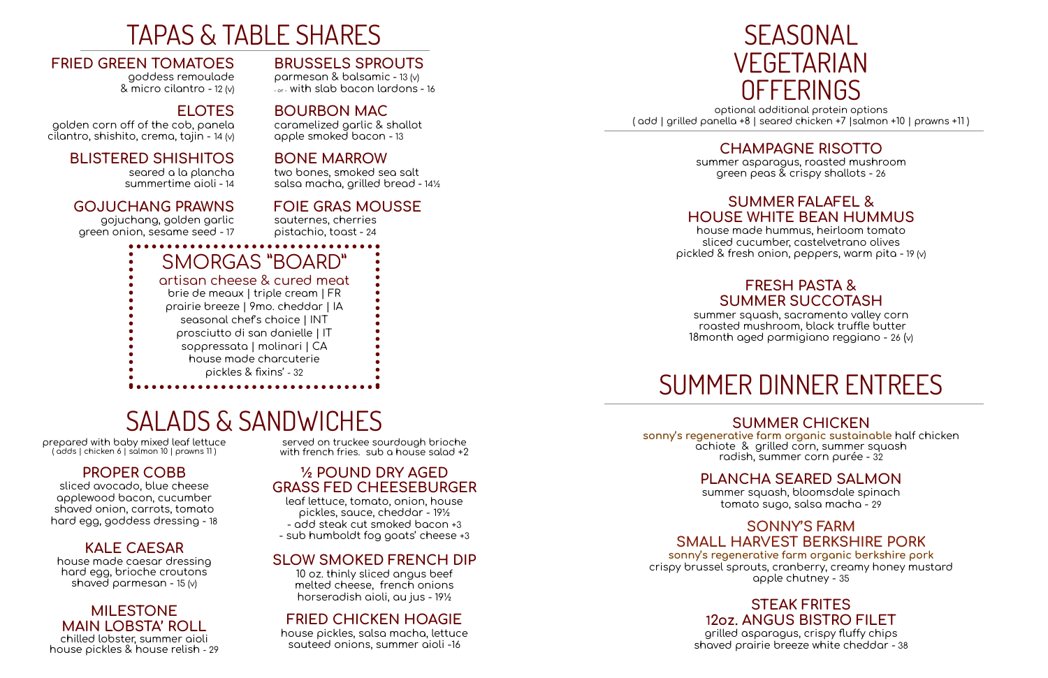## TAPAS & TABLE SHARES

### **FRIED GREEN TOMATOES**

goddess remoulade & micro cilantro - 12 (v)

golden corn off of the cob, panela cilantro, shishito, crema, tajin - 14 (v)

## **ELOTES**

parmesan & balsamic - 13 (v) - or - with slab bacon lardons - 16

### **BLISTERED SHISHITOS**

seared a la plancha summertime aioli - 14

### **GOJUCHANG PRAWNS**

gojuchang, golden garlic green onion, sesame seed - 17

## **BRUSSELS SPROUTS**

## **BOURBON MAC**

caramelized garlic & shallot apple smoked bacon - 13

## **BONE MARROW**

two bones, smoked sea salt salsa macha, grilled bread - 14½

## **FOIE GRAS MOUSSE**

house made caesar dressing hard egg, brioche croutons shaved parmesan - 15  $(v)$ 

sauternes, cherries pistachio, toast - 24

served on truckee sourdough brioche with french fries. sub a house salad +2

SMORGAS "BOARD" artisan cheese & cured meat brie de meaux | triple cream | FR prairie breeze | 9mo. cheddar | IA seasonal chef's choice | INT prosciutto di san danielle | IT soppressata | molinari | CA house made charcuterie pickles & fixins' - 32

## SALADS & SANDWICHES

prepared with baby mixed leaf lettuce ( adds | chicken 6 | salmon 10 | prawns 11 )

## **SEASONAL** VEGETARIAN **OFFERINGS** optional additional protein options ( add | grilled panella +8 | seared chicken +7 |salmon +10 | prawns +11 )

## **PROPER COBB**

sliced avocado, blue cheese applewood bacon, cucumber shaved onion, carrots, tomato hard egg, goddess dressing - 18

## **KALE CAESAR**

### **MILESTONE MAIN LOBSTA' ROLL**

chilled lobster, summer aioli house pickles & house relish - 29

## **½ POUND DRY AGED GRASS FED CHEESEBURGER**

grilled asparagus, crispy fluffy chips shaved prairie breeze white cheddar - 38

leaf lettuce, tomato, onion, house pickles, sauce, cheddar - 19½ - add steak cut smoked bacon +3 - sub humboldt fog goats' cheese +3

## **SLOW SMOKED FRENCH DIP**

10 oz. thinly sliced angus beef melted cheese, french onions horseradish aioli, au jus - 19½

## **FRIED CHICKEN HOAGIE**

house pickles, salsa macha, lettuce sauteed onions, summer aioli -16

## **CHAMPAGNE RISOTTO**

summer asparagus, roasted mushroom green peas & crispy shallots - 26

## **SUMMER FALAFEL & HOUSE WHITE BEAN HUMMUS**

house made hummus, heirloom tomato sliced cucumber, castelvetrano olives pickled & fresh onion, peppers, warm pita - 19 (v)

## **FRESH PASTA & SUMMER SUCCOTASH**

summer squash, sacramento valley corn roasted mushroom, black truffle butter 18month aged parmigiano reggiano - 26 (v)

## SUMMER DINNER ENTREES

## **SUMMER CHICKEN**

**sonny's regenerative farm organic sustainable** half chicken achiote & grilled corn, summer squash radish, summer corn purée - 32

## **PLANCHA SEARED SALMON**

summer squash, bloomsdale spinach tomato sugo, salsa macha - 29

### **SONNY'S FARM SMALL HARVEST BERKSHIRE PORK**

**sonny's regenerative farm organic berkshire pork** crispy brussel sprouts, cranberry, creamy honey mustard apple chutney - 35

## **STEAK FRITES 12oz. ANGUS BISTRO FILET**